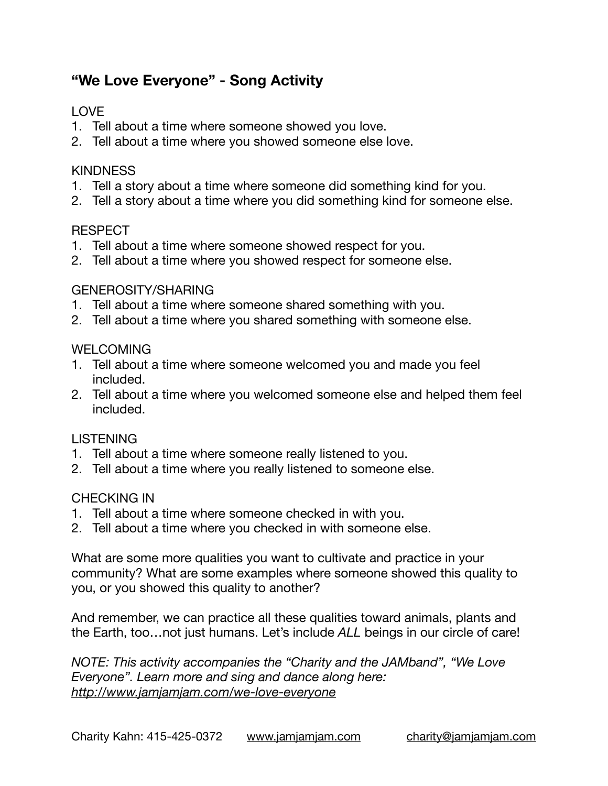# **"We Love Everyone" - Song Activity**

## LOVE

- 1. Tell about a time where someone showed you love.
- 2. Tell about a time where you showed someone else love.

## **KINDNESS**

- 1. Tell a story about a time where someone did something kind for you.
- 2. Tell a story about a time where you did something kind for someone else.

## RESPECT

- 1. Tell about a time where someone showed respect for you.
- 2. Tell about a time where you showed respect for someone else.

## GENEROSITY/SHARING

- 1. Tell about a time where someone shared something with you.
- 2. Tell about a time where you shared something with someone else.

## **WELCOMING**

- 1. Tell about a time where someone welcomed you and made you feel included.
- 2. Tell about a time where you welcomed someone else and helped them feel included.

## **LISTENING**

- 1. Tell about a time where someone really listened to you.
- 2. Tell about a time where you really listened to someone else.

## CHECKING IN

- 1. Tell about a time where someone checked in with you.
- 2. Tell about a time where you checked in with someone else.

What are some more qualities you want to cultivate and practice in your community? What are some examples where someone showed this quality to you, or you showed this quality to another?

And remember, we can practice all these qualities toward animals, plants and the Earth, too…not just humans. Let's include *ALL* beings in our circle of care!

*NOTE: This activity accompanies the "Charity and the JAMband", "We Love Everyone". Learn more and sing and dance along here: <http://www.jamjamjam.com/we-love-everyone>*